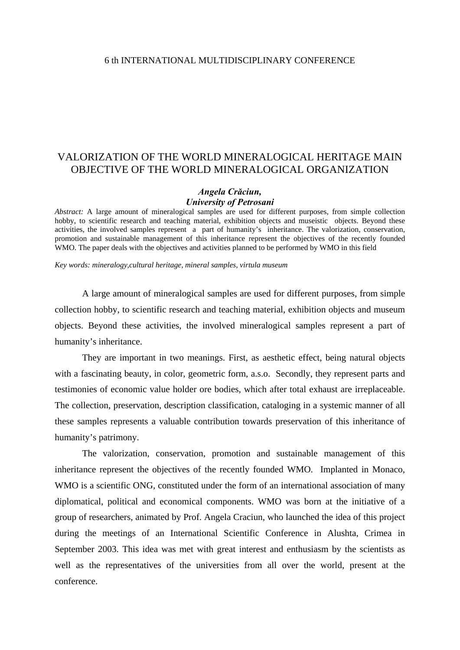## VALORIZATION OF THE WORLD MINERALOGICAL HERITAGE MAIN OBJECTIVE OF THE WORLD MINERALOGICAL ORGANIZATION

## *Angela Crăciun, University of Petrosani*

*Abstract:* A large amount of mineralogical samples are used for different purposes, from simple collection hobby, to scientific research and teaching material, exhibition objects and museistic objects. Beyond these activities, the involved samples represent a part of humanity's inheritance. The valorization, conservation, promotion and sustainable management of this inheritance represent the objectives of the recently founded WMO. The paper deals with the objectives and activities planned to be performed by WMO in this field

*Key words: mineralogy,cultural heritage, mineral samples, virtula museum* 

A large amount of mineralogical samples are used for different purposes, from simple collection hobby, to scientific research and teaching material, exhibition objects and museum objects. Beyond these activities, the involved mineralogical samples represent a part of humanity's inheritance.

They are important in two meanings. First, as aesthetic effect, being natural objects with a fascinating beauty, in color, geometric form, a.s.o. Secondly, they represent parts and testimonies of economic value holder ore bodies, which after total exhaust are irreplaceable. The collection, preservation, description classification, cataloging in a systemic manner of all these samples represents a valuable contribution towards preservation of this inheritance of humanity's patrimony.

The valorization, conservation, promotion and sustainable management of this inheritance represent the objectives of the recently founded WMO. Implanted in Monaco, WMO is a scientific ONG, constituted under the form of an international association of many diplomatical, political and economical components. WMO was born at the initiative of a group of researchers, animated by Prof. Angela Craciun, who launched the idea of this project during the meetings of an International Scientific Conference in Alushta, Crimea in September 2003. This idea was met with great interest and enthusiasm by the scientists as well as the representatives of the universities from all over the world, present at the conference.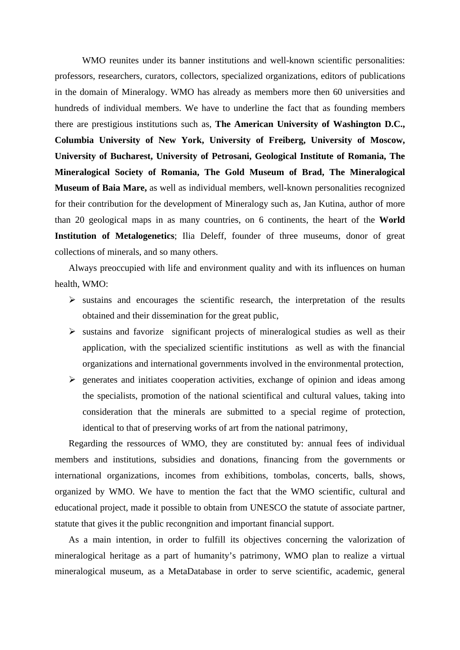WMO reunites under its banner institutions and well-known scientific personalities: professors, researchers, curators, collectors, specialized organizations, editors of publications in the domain of Mineralogy. WMO has already as members more then 60 universities and hundreds of individual members. We have to underline the fact that as founding members there are prestigious institutions such as, **The American University of Washington D.C., Columbia University of New York, University of Freiberg, University of Moscow, University of Bucharest, University of Petrosani, Geological Institute of Romania, The Mineralogical Society of Romania, The Gold Museum of Brad, The Mineralogical Museum of Baia Mare,** as well as individual members, well-known personalities recognized for their contribution for the development of Mineralogy such as, Jan Kutina, author of more than 20 geological maps in as many countries, on 6 continents, the heart of the **World Institution of Metalogenetics**; Ilia Deleff, founder of three museums, donor of great collections of minerals, and so many others.

Always preoccupied with life and environment quality and with its influences on human health, WMO:

- $\triangleright$  sustains and encourages the scientific research, the interpretation of the results obtained and their dissemination for the great public,
- $\triangleright$  sustains and favorize significant projects of mineralogical studies as well as their application, with the specialized scientific institutions as well as with the financial organizations and international governments involved in the environmental protection,
- $\triangleright$  generates and initiates cooperation activities, exchange of opinion and ideas among the specialists, promotion of the national scientifical and cultural values, taking into consideration that the minerals are submitted to a special regime of protection, identical to that of preserving works of art from the national patrimony,

Regarding the ressources of WMO, they are constituted by: annual fees of individual members and institutions, subsidies and donations, financing from the governments or international organizations, incomes from exhibitions, tombolas, concerts, balls, shows, organized by WMO. We have to mention the fact that the WMO scientific, cultural and educational project, made it possible to obtain from UNESCO the statute of associate partner, statute that gives it the public recongnition and important financial support.

As a main intention, in order to fulfill its objectives concerning the valorization of mineralogical heritage as a part of humanity's patrimony, WMO plan to realize a virtual mineralogical museum, as a MetaDatabase in order to serve scientific, academic, general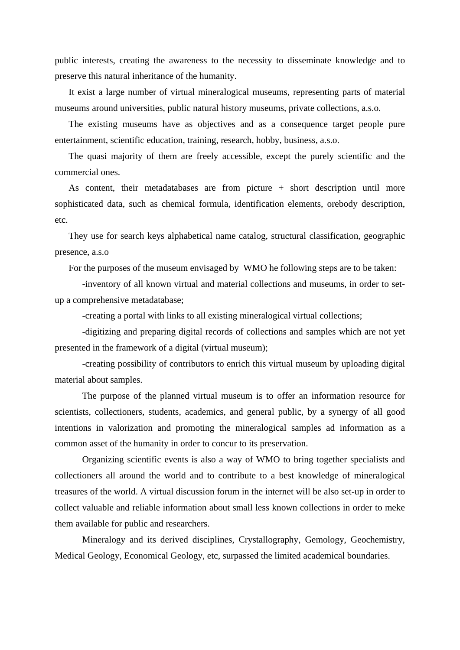public interests, creating the awareness to the necessity to disseminate knowledge and to preserve this natural inheritance of the humanity.

It exist a large number of virtual mineralogical museums, representing parts of material museums around universities, public natural history museums, private collections, a.s.o.

The existing museums have as objectives and as a consequence target people pure entertainment, scientific education, training, research, hobby, business, a.s.o.

The quasi majority of them are freely accessible, except the purely scientific and the commercial ones.

As content, their metadatabases are from picture + short description until more sophisticated data, such as chemical formula, identification elements, orebody description, etc.

They use for search keys alphabetical name catalog, structural classification, geographic presence, a.s.o

For the purposes of the museum envisaged by WMO he following steps are to be taken:

 -inventory of all known virtual and material collections and museums, in order to setup a comprehensive metadatabase;

-creating a portal with links to all existing mineralogical virtual collections;

 -digitizing and preparing digital records of collections and samples which are not yet presented in the framework of a digital (virtual museum);

 -creating possibility of contributors to enrich this virtual museum by uploading digital material about samples.

The purpose of the planned virtual museum is to offer an information resource for scientists, collectioners, students, academics, and general public, by a synergy of all good intentions in valorization and promoting the mineralogical samples ad information as a common asset of the humanity in order to concur to its preservation.

Organizing scientific events is also a way of WMO to bring together specialists and collectioners all around the world and to contribute to a best knowledge of mineralogical treasures of the world. A virtual discussion forum in the internet will be also set-up in order to collect valuable and reliable information about small less known collections in order to meke them available for public and researchers.

Mineralogy and its derived disciplines, Crystallography, Gemology, Geochemistry, Medical Geology, Economical Geology, etc, surpassed the limited academical boundaries.